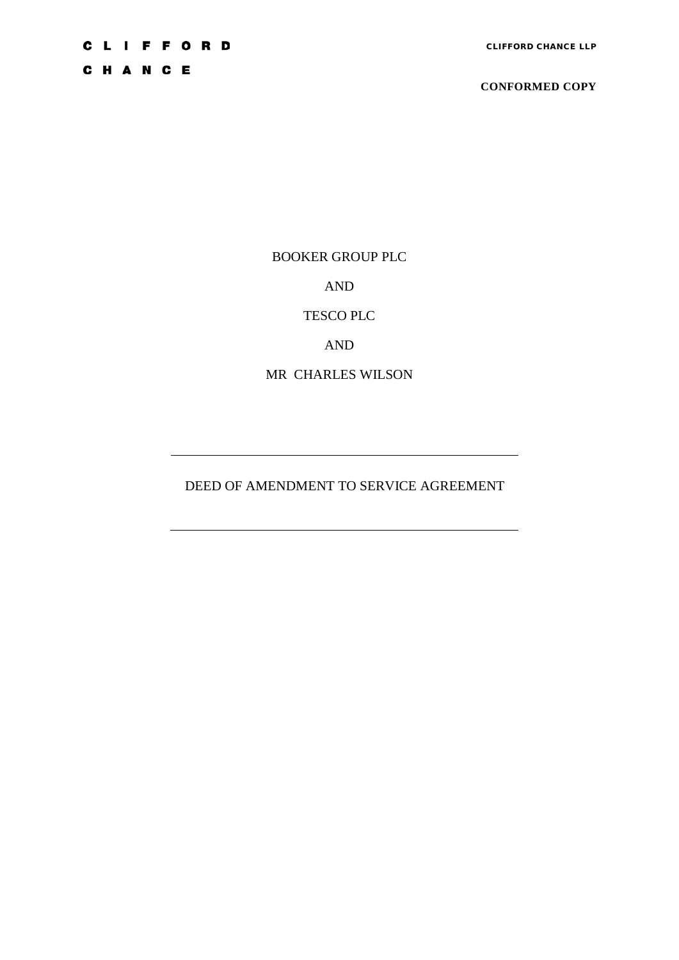C H A N C E

**CONFORMED COPY**

BOOKER GROUP PLC

AND

TESCO PLC

AND

MR CHARLES WILSON

DEED OF AMENDMENT TO SERVICE AGREEMENT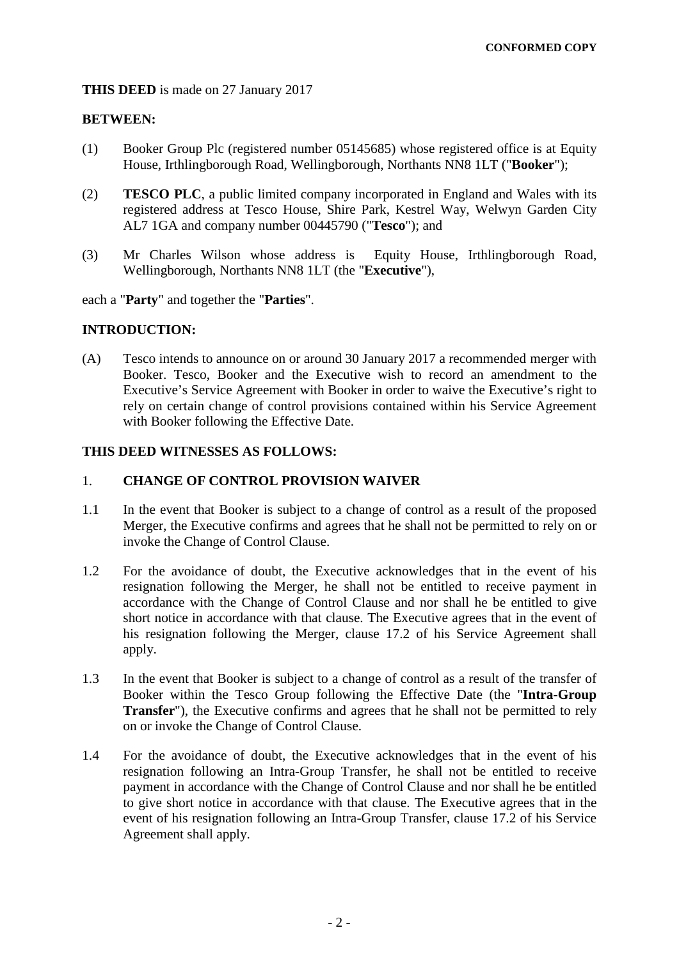## **THIS DEED** is made on 27 January 2017

# **BETWEEN:**

- (1) Booker Group Plc (registered number 05145685) whose registered office is at Equity House, Irthlingborough Road, Wellingborough, Northants NN8 1LT ("**Booker**");
- (2) **TESCO PLC**, a public limited company incorporated in England and Wales with its registered address at Tesco House, Shire Park, Kestrel Way, Welwyn Garden City AL7 1GA and company number 00445790 ("**Tesco**"); and
- (3) Mr Charles Wilson whose address is Equity House, Irthlingborough Road, Wellingborough, Northants NN8 1LT (the "**Executive**"),

each a "**Party**" and together the "**Parties**".

## **INTRODUCTION:**

(A) Tesco intends to announce on or around 30 January 2017 a recommended merger with Booker. Tesco, Booker and the Executive wish to record an amendment to the Executive's Service Agreement with Booker in order to waive the Executive's right to rely on certain change of control provisions contained within his Service Agreement with Booker following the Effective Date.

## **THIS DEED WITNESSES AS FOLLOWS:**

# 1. **CHANGE OF CONTROL PROVISION WAIVER**

- 1.1 In the event that Booker is subject to a change of control as a result of the proposed Merger, the Executive confirms and agrees that he shall not be permitted to rely on or invoke the Change of Control Clause.
- 1.2 For the avoidance of doubt, the Executive acknowledges that in the event of his resignation following the Merger, he shall not be entitled to receive payment in accordance with the Change of Control Clause and nor shall he be entitled to give short notice in accordance with that clause. The Executive agrees that in the event of his resignation following the Merger, clause 17.2 of his Service Agreement shall apply.
- 1.3 In the event that Booker is subject to a change of control as a result of the transfer of Booker within the Tesco Group following the Effective Date (the "**Intra-Group Transfer**"), the Executive confirms and agrees that he shall not be permitted to rely on or invoke the Change of Control Clause.
- 1.4 For the avoidance of doubt, the Executive acknowledges that in the event of his resignation following an Intra-Group Transfer, he shall not be entitled to receive payment in accordance with the Change of Control Clause and nor shall he be entitled to give short notice in accordance with that clause. The Executive agrees that in the event of his resignation following an Intra-Group Transfer, clause 17.2 of his Service Agreement shall apply.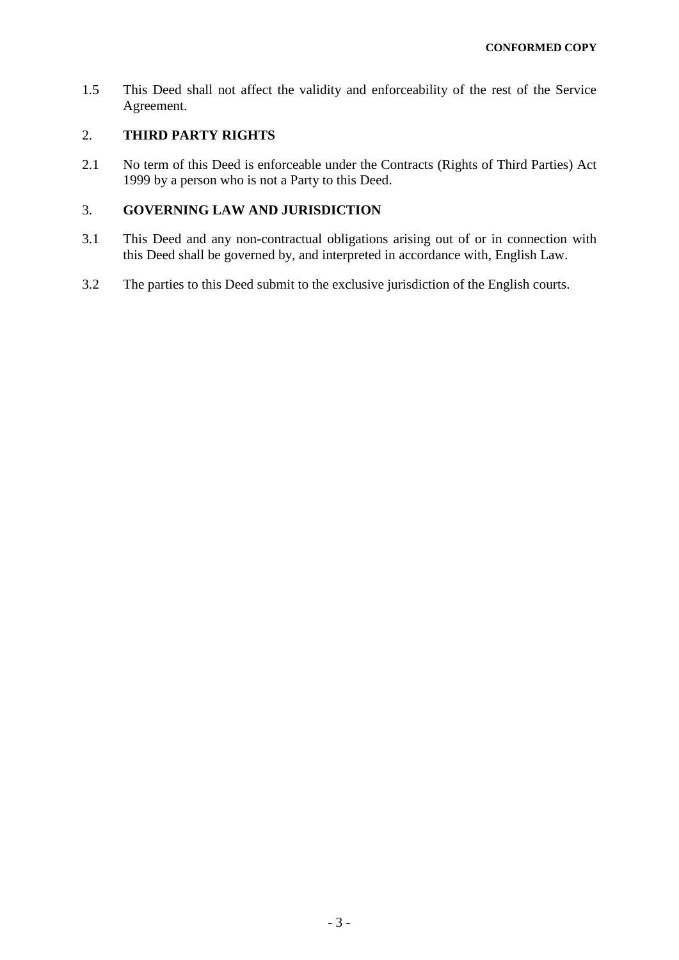1.5 This Deed shall not affect the validity and enforceability of the rest of the Service Agreement.

# 2. **THIRD PARTY RIGHTS**

2.1 No term of this Deed is enforceable under the Contracts (Rights of Third Parties) Act 1999 by a person who is not a Party to this Deed.

# 3. **GOVERNING LAW AND JURISDICTION**

- 3.1 This Deed and any non-contractual obligations arising out of or in connection with this Deed shall be governed by, and interpreted in accordance with, English Law.
- 3.2 The parties to this Deed submit to the exclusive jurisdiction of the English courts.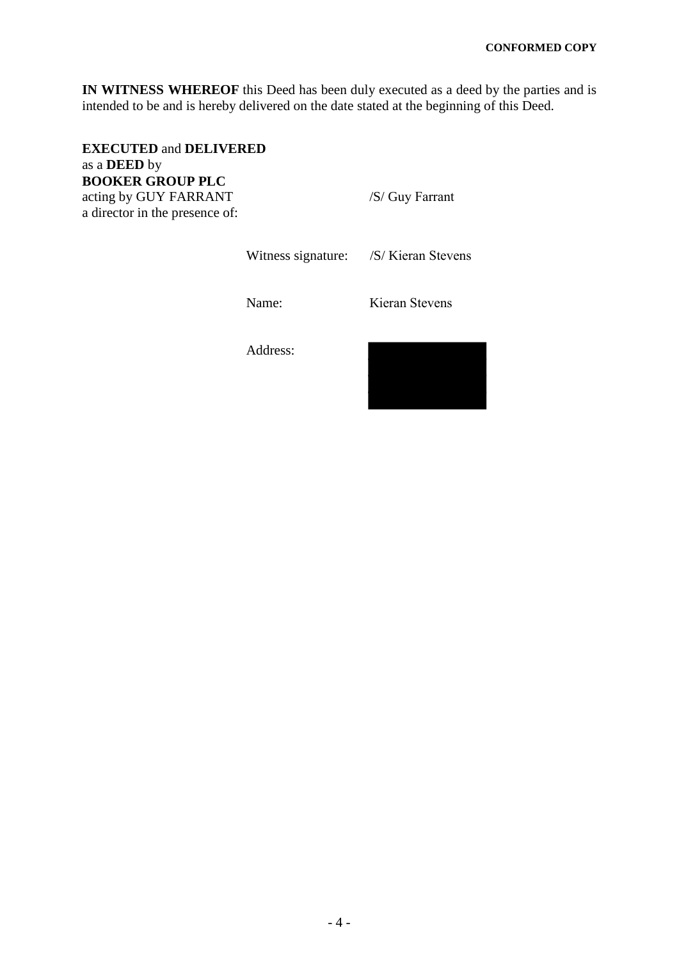**IN WITNESS WHEREOF** this Deed has been duly executed as a deed by the parties and is intended to be and is hereby delivered on the date stated at the beginning of this Deed.

**EXECUTED** and **DELIVERED** as a **DEED** by **BOOKER GROUP PLC** acting by GUY FARRANT /S/ Guy Farrant a director in the presence of:

Witness signature: /S/ Kieran Stevens

Name: Kieran Stevens

Address:

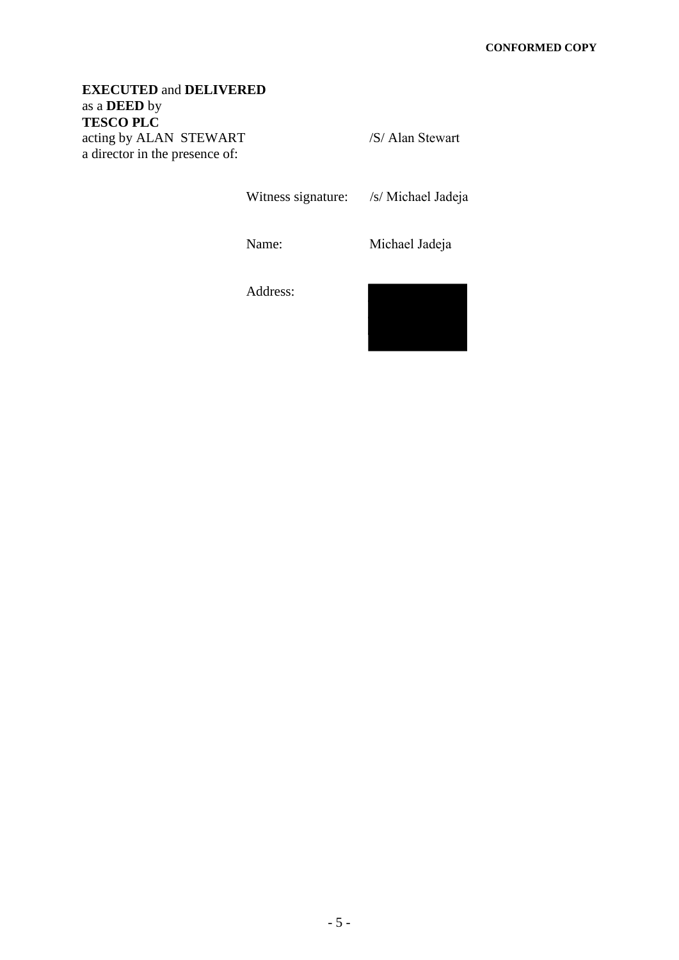# **EXECUTED** and **DELIVERED** as a **DEED** by **TESCO PLC** acting by ALAN STEWART /S/ Alan Stewart a director in the presence of:

Witness signature: /s/ Michael Jadeja

Name: Michael Jadeja

Address:

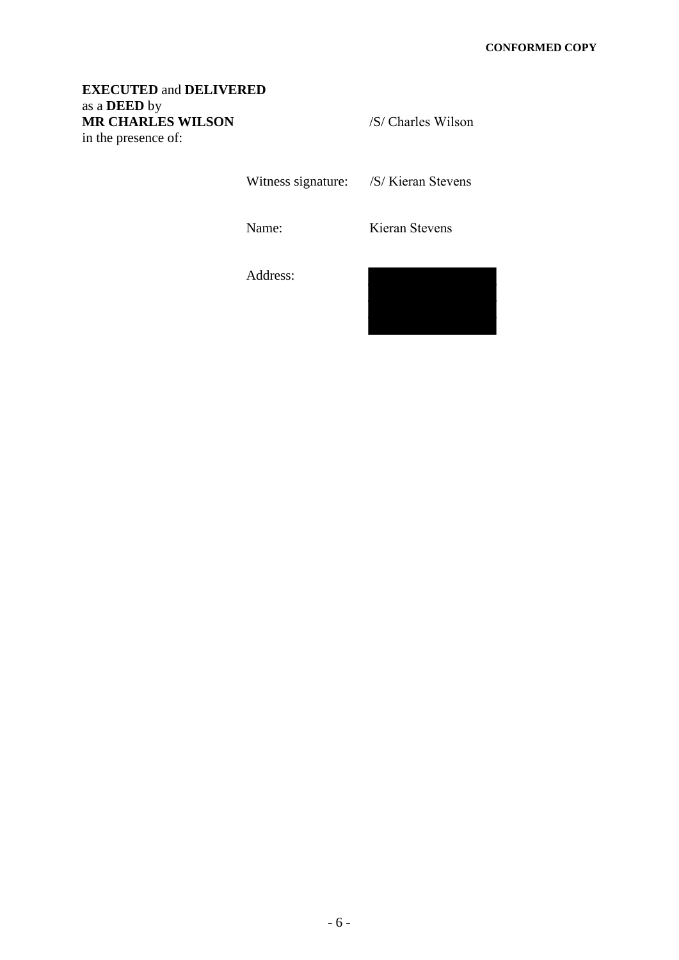# **EXECUTED** and **DELIVERED** as a **DEED** by **MR CHARLES WILSON** /S/ Charles Wilson in the presence of:

Witness signature: /S/ Kieran Stevens

Name: Kieran Stevens

Address:

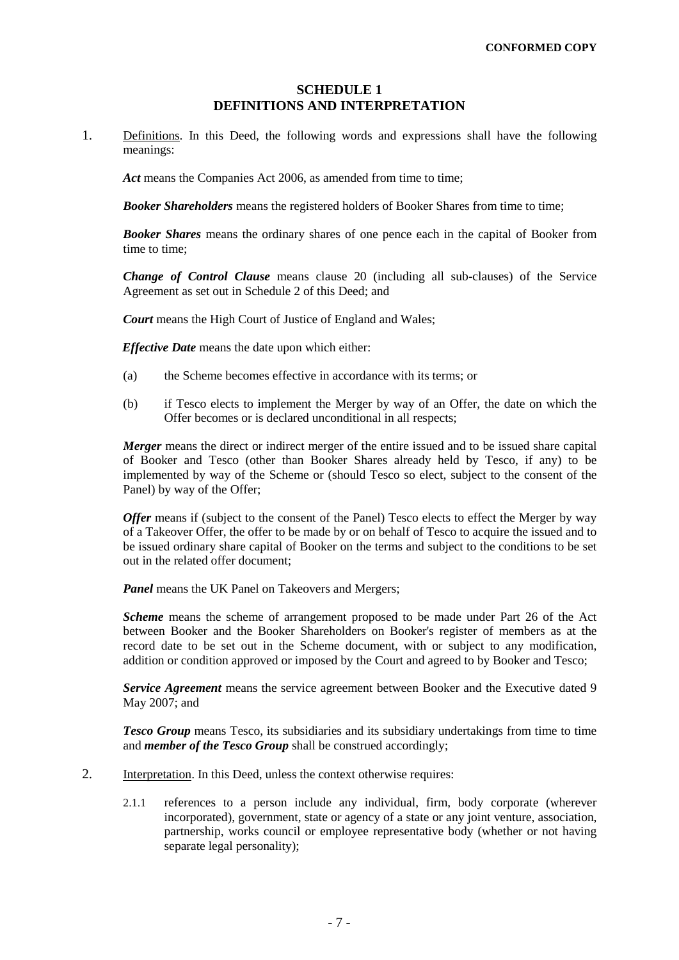#### **SCHEDULE 1 DEFINITIONS AND INTERPRETATION**

<span id="page-6-0"></span>1. Definitions. In this Deed, the following words and expressions shall have the following meanings:

Act means the Companies Act 2006, as amended from time to time;

**Booker Shareholders** means the registered holders of Booker Shares from time to time;

*Booker Shares* means the ordinary shares of one pence each in the capital of Booker from time to time;

*Change of Control Clause* means clause 20 (including all sub-clauses) of the Service Agreement as set out in Schedule 2 of this Deed; and

*Court* means the High Court of Justice of England and Wales:

*Effective Date* means the date upon which either:

- (a) the Scheme becomes effective in accordance with its terms; or
- (b) if Tesco elects to implement the Merger by way of an Offer, the date on which the Offer becomes or is declared unconditional in all respects;

*Merger* means the direct or indirect merger of the entire issued and to be issued share capital of Booker and Tesco (other than Booker Shares already held by Tesco, if any) to be implemented by way of the Scheme or (should Tesco so elect, subject to the consent of the Panel) by way of the Offer;

*Offer* means if (subject to the consent of the Panel) Tesco elects to effect the Merger by way of a Takeover Offer, the offer to be made by or on behalf of Tesco to acquire the issued and to be issued ordinary share capital of Booker on the terms and subject to the conditions to be set out in the related offer document;

Panel means the UK Panel on Takeovers and Mergers;

*Scheme* means the scheme of arrangement proposed to be made under Part 26 of the Act between Booker and the Booker Shareholders on Booker's register of members as at the record date to be set out in the Scheme document, with or subject to any modification, addition or condition approved or imposed by the Court and agreed to by Booker and Tesco;

*Service Agreement* means the service agreement between Booker and the Executive dated 9 May 2007; and

*Tesco Group* means Tesco, its subsidiaries and its subsidiary undertakings from time to time and *member of the Tesco Group* shall be construed accordingly;

- 2. Interpretation. In this Deed, unless the context otherwise requires:
	- 2.1.1 references to a person include any individual, firm, body corporate (wherever incorporated), government, state or agency of a state or any joint venture, association, partnership, works council or employee representative body (whether or not having separate legal personality);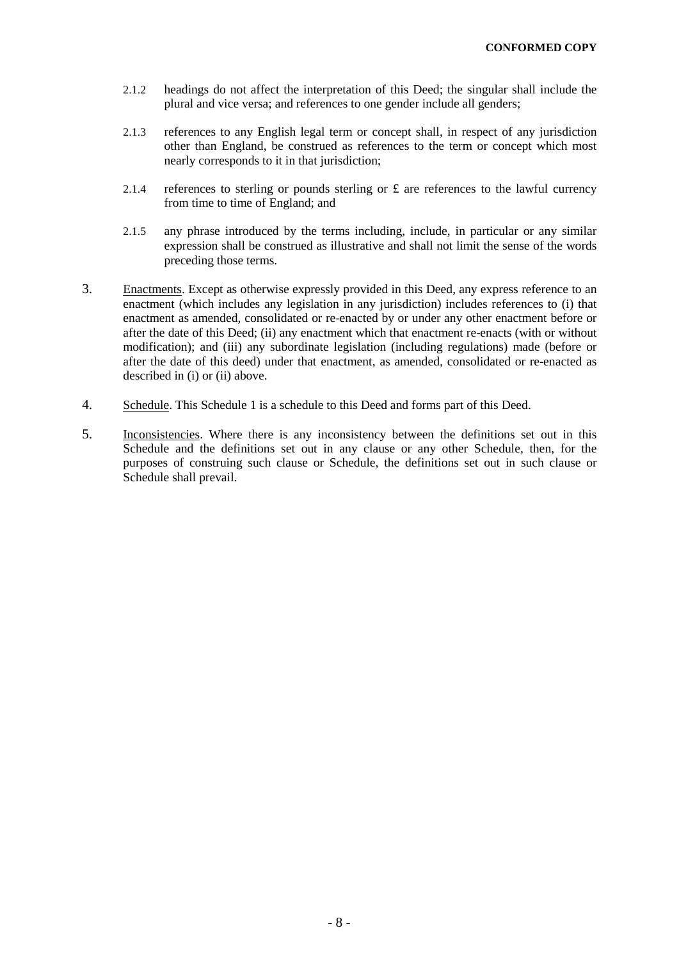- 2.1.2 headings do not affect the interpretation of this Deed; the singular shall include the plural and vice versa; and references to one gender include all genders;
- 2.1.3 references to any English legal term or concept shall, in respect of any jurisdiction other than England, be construed as references to the term or concept which most nearly corresponds to it in that jurisdiction;
- 2.1.4 references to sterling or pounds sterling or  $\pounds$  are references to the lawful currency from time to time of England; and
- 2.1.5 any phrase introduced by the terms including, include, in particular or any similar expression shall be construed as illustrative and shall not limit the sense of the words preceding those terms.
- 3. Enactments. Except as otherwise expressly provided in this Deed, any express reference to an enactment (which includes any legislation in any jurisdiction) includes references to (i) that enactment as amended, consolidated or re-enacted by or under any other enactment before or after the date of this Deed; (ii) any enactment which that enactment re-enacts (with or without modification); and (iii) any subordinate legislation (including regulations) made (before or after the date of this deed) under that enactment, as amended, consolidated or re-enacted as described in (i) or (ii) above.
- 4. Schedule. This [Schedule 1](#page-6-0) is a schedule to this Deed and forms part of this Deed.
- 5. Inconsistencies. Where there is any inconsistency between the definitions set out in this Schedule and the definitions set out in any clause or any other Schedule, then, for the purposes of construing such clause or Schedule, the definitions set out in such clause or Schedule shall prevail.